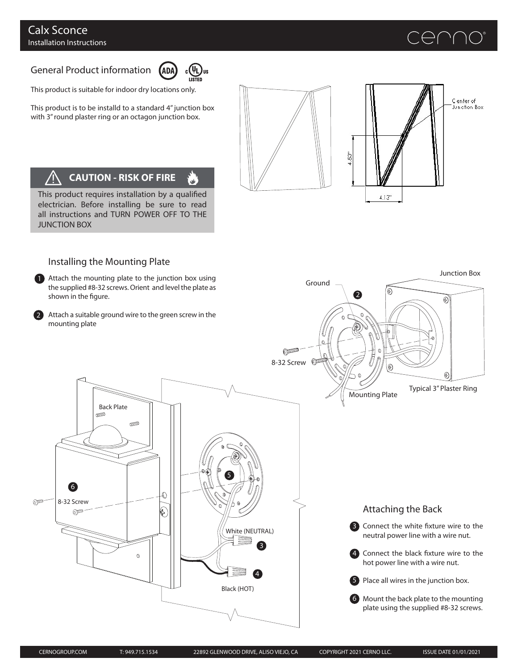## $\ominus$   $\cap$   $\cap$   $\circ$

Junction Box

### General Product information (ADA)



.<br>نگان

This product is suitable for indoor dry locations only.

This product is to be installd to a standard 4" junction box with 3" round plaster ring or an octagon junction box.



Ground

2

⊛



# **CAUTION - RISK OF FIRE**

This product requires installation by a qualified electrician. Before installing be sure to read all instructions and TURN POWER OFF TO THE JUNCTION BOX

#### Installing the Mounting Plate

1 Attach the mounting plate to the junction box using the supplied #8-32 screws. Orient and level the plate as shown in the figure.

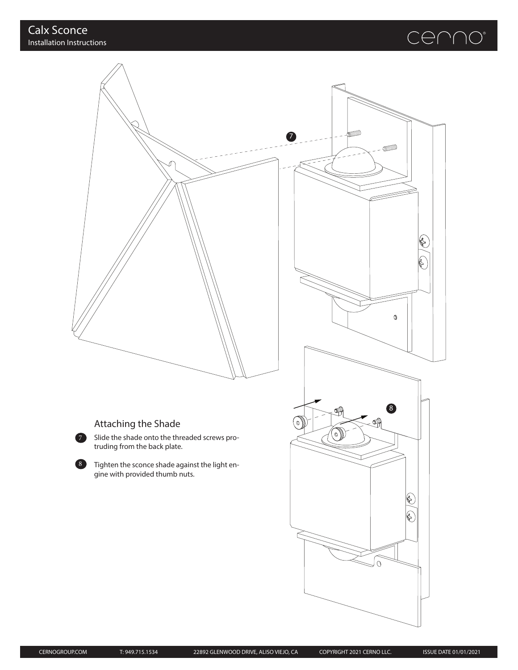## cenno®